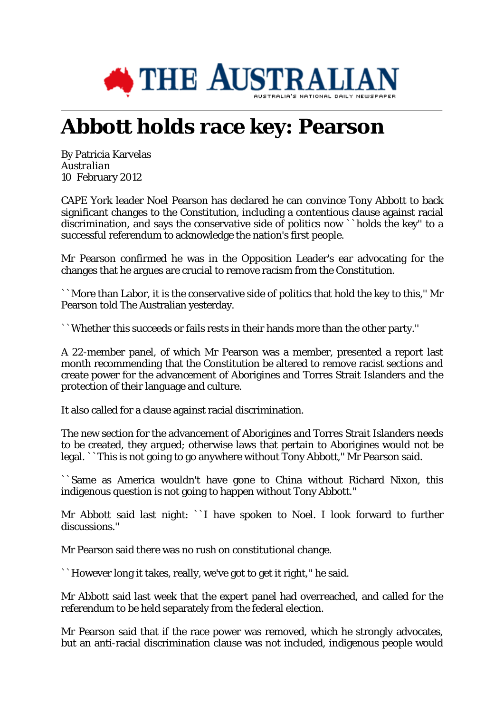

## **Abbott holds race key: Pearson**

By Patricia Karvelas *Australian* 10 February 2012

CAPE York leader Noel Pearson has declared he can convince Tony Abbott to back significant changes to the Constitution, including a contentious clause against racial discrimination, and says the conservative side of politics now ``holds the key'' to a successful referendum to acknowledge the nation's first people.

Mr Pearson confirmed he was in the Opposition Leader's ear advocating for the changes that he argues are crucial to remove racism from the Constitution.

``More than Labor, it is the conservative side of politics that hold the key to this,'' Mr Pearson told The Australian yesterday.

``Whether this succeeds or fails rests in their hands more than the other party.''

A 22-member panel, of which Mr Pearson was a member, presented a report last month recommending that the Constitution be altered to remove racist sections and create power for the advancement of Aborigines and Torres Strait Islanders and the protection of their language and culture.

It also called for a clause against racial discrimination.

The new section for the advancement of Aborigines and Torres Strait Islanders needs to be created, they argued; otherwise laws that pertain to Aborigines would not be legal. ``This is not going to go anywhere without Tony Abbott,'' Mr Pearson said.

``Same as America wouldn't have gone to China without Richard Nixon, this indigenous question is not going to happen without Tony Abbott.''

Mr Abbott said last night: ``I have spoken to Noel. I look forward to further discussions.''

Mr Pearson said there was no rush on constitutional change.

``However long it takes, really, we've got to get it right,'' he said.

Mr Abbott said last week that the expert panel had overreached, and called for the referendum to be held separately from the federal election.

Mr Pearson said that if the race power was removed, which he strongly advocates, but an anti-racial discrimination clause was not included, indigenous people would